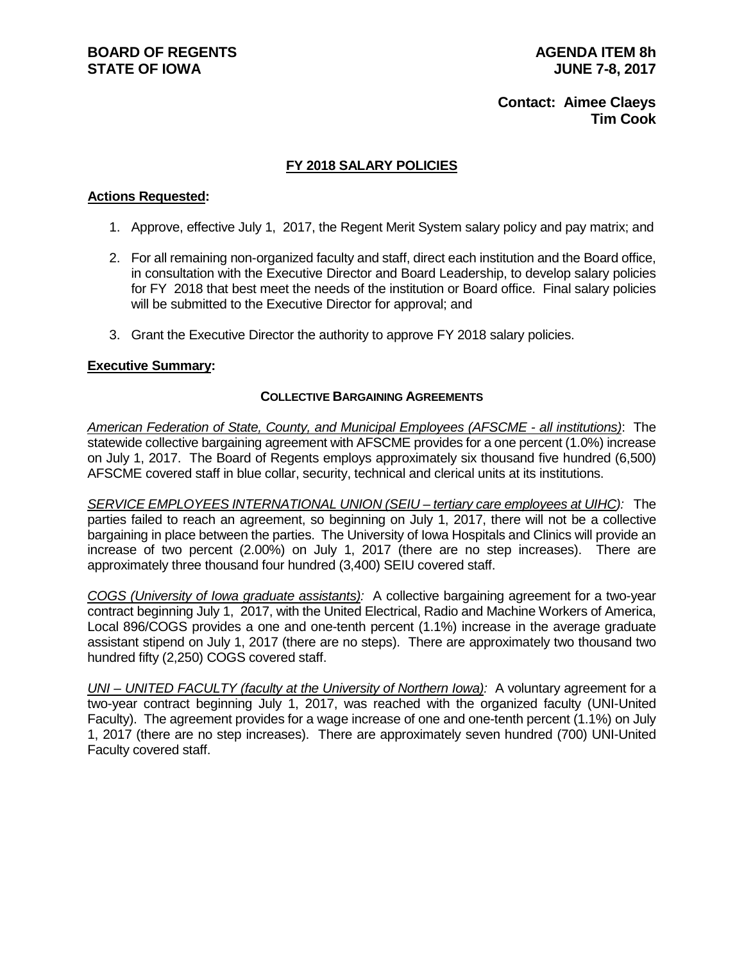# **Contact: Aimee Claeys Tim Cook**

# **FY 2018 SALARY POLICIES**

## **Actions Requested:**

- 1. Approve, effective July 1, 2017, the Regent Merit System salary policy and pay matrix; and
- 2. For all remaining non-organized faculty and staff, direct each institution and the Board office, in consultation with the Executive Director and Board Leadership, to develop salary policies for FY 2018 that best meet the needs of the institution or Board office. Final salary policies will be submitted to the Executive Director for approval; and
- 3. Grant the Executive Director the authority to approve FY 2018 salary policies.

## **Executive Summary:**

#### **COLLECTIVE BARGAINING AGREEMENTS**

*American Federation of State, County, and Municipal Employees (AFSCME - all institutions)*: The statewide collective bargaining agreement with AFSCME provides for a one percent (1.0%) increase on July 1, 2017. The Board of Regents employs approximately six thousand five hundred (6,500) AFSCME covered staff in blue collar, security, technical and clerical units at its institutions.

*SERVICE EMPLOYEES INTERNATIONAL UNION (SEIU – tertiary care employees at UIHC):* The parties failed to reach an agreement, so beginning on July 1, 2017, there will not be a collective bargaining in place between the parties. The University of Iowa Hospitals and Clinics will provide an increase of two percent (2.00%) on July 1, 2017 (there are no step increases). There are approximately three thousand four hundred (3,400) SEIU covered staff.

*COGS (University of Iowa graduate assistants):* A collective bargaining agreement for a two-year contract beginning July 1, 2017, with the United Electrical, Radio and Machine Workers of America, Local 896/COGS provides a one and one-tenth percent (1.1%) increase in the average graduate assistant stipend on July 1, 2017 (there are no steps). There are approximately two thousand two hundred fifty (2,250) COGS covered staff.

*UNI – UNITED FACULTY (faculty at the University of Northern Iowa):* A voluntary agreement for a two-year contract beginning July 1, 2017, was reached with the organized faculty (UNI-United Faculty). The agreement provides for a wage increase of one and one-tenth percent (1.1%) on July 1, 2017 (there are no step increases). There are approximately seven hundred (700) UNI-United Faculty covered staff.